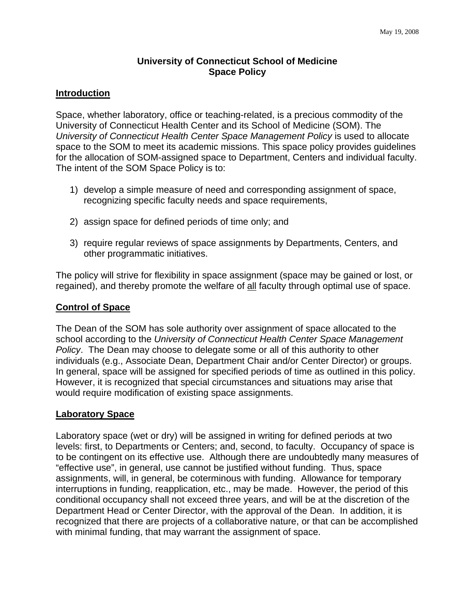# **University of Connecticut School of Medicine Space Policy**

### **Introduction**

Space, whether laboratory, office or teaching-related, is a precious commodity of the University of Connecticut Health Center and its School of Medicine (SOM). The *University of Connecticut Health Center Space Management Policy* is used to allocate space to the SOM to meet its academic missions. This space policy provides guidelines for the allocation of SOM-assigned space to Department, Centers and individual faculty. The intent of the SOM Space Policy is to:

- 1) develop a simple measure of need and corresponding assignment of space, recognizing specific faculty needs and space requirements,
- 2) assign space for defined periods of time only; and
- 3) require regular reviews of space assignments by Departments, Centers, and other programmatic initiatives.

The policy will strive for flexibility in space assignment (space may be gained or lost, or regained), and thereby promote the welfare of all faculty through optimal use of space.

## **Control of Space**

The Dean of the SOM has sole authority over assignment of space allocated to the school according to the *University of Connecticut Health Center Space Management Policy*. The Dean may choose to delegate some or all of this authority to other individuals (e.g., Associate Dean, Department Chair and/or Center Director) or groups. In general, space will be assigned for specified periods of time as outlined in this policy. However, it is recognized that special circumstances and situations may arise that would require modification of existing space assignments.

#### **Laboratory Space**

Laboratory space (wet or dry) will be assigned in writing for defined periods at two levels: first, to Departments or Centers; and, second, to faculty. Occupancy of space is to be contingent on its effective use. Although there are undoubtedly many measures of "effective use", in general, use cannot be justified without funding. Thus, space assignments, will, in general, be coterminous with funding. Allowance for temporary interruptions in funding, reapplication, etc., may be made. However, the period of this conditional occupancy shall not exceed three years, and will be at the discretion of the Department Head or Center Director, with the approval of the Dean. In addition, it is recognized that there are projects of a collaborative nature, or that can be accomplished with minimal funding, that may warrant the assignment of space.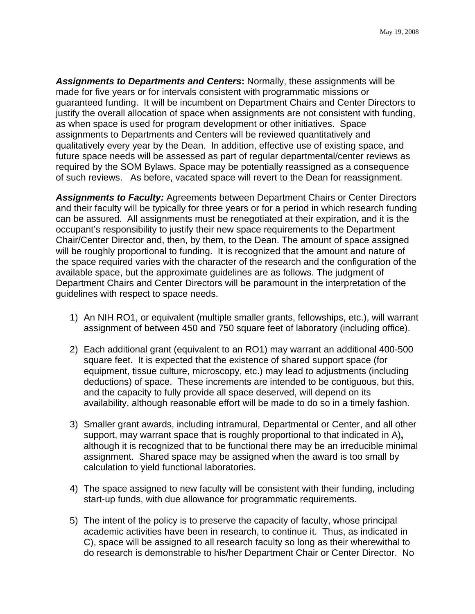*Assignments to Departments and Centers***:** Normally, these assignments will be made for five years or for intervals consistent with programmatic missions or guaranteed funding. It will be incumbent on Department Chairs and Center Directors to justify the overall allocation of space when assignments are not consistent with funding, as when space is used for program development or other initiatives. Space assignments to Departments and Centers will be reviewed quantitatively and qualitatively every year by the Dean. In addition, effective use of existing space, and future space needs will be assessed as part of regular departmental/center reviews as required by the SOM Bylaws. Space may be potentially reassigned as a consequence of such reviews. As before, vacated space will revert to the Dean for reassignment.

*Assignments to Faculty:* Agreements between Department Chairs or Center Directors and their faculty will be typically for three years or for a period in which research funding can be assured. All assignments must be renegotiated at their expiration, and it is the occupant's responsibility to justify their new space requirements to the Department Chair/Center Director and, then, by them, to the Dean. The amount of space assigned will be roughly proportional to funding. It is recognized that the amount and nature of the space required varies with the character of the research and the configuration of the available space, but the approximate guidelines are as follows. The judgment of Department Chairs and Center Directors will be paramount in the interpretation of the guidelines with respect to space needs.

- 1) An NIH RO1, or equivalent (multiple smaller grants, fellowships, etc.), will warrant assignment of between 450 and 750 square feet of laboratory (including office).
- 2) Each additional grant (equivalent to an RO1) may warrant an additional 400-500 square feet. It is expected that the existence of shared support space (for equipment, tissue culture, microscopy, etc.) may lead to adjustments (including deductions) of space. These increments are intended to be contiguous, but this, and the capacity to fully provide all space deserved, will depend on its availability, although reasonable effort will be made to do so in a timely fashion.
- 3) Smaller grant awards, including intramural, Departmental or Center, and all other support, may warrant space that is roughly proportional to that indicated in A)**,**  although it is recognized that to be functional there may be an irreducible minimal assignment. Shared space may be assigned when the award is too small by calculation to yield functional laboratories.
- 4) The space assigned to new faculty will be consistent with their funding, including start-up funds, with due allowance for programmatic requirements.
- 5) The intent of the policy is to preserve the capacity of faculty, whose principal academic activities have been in research, to continue it. Thus, as indicated in C), space will be assigned to all research faculty so long as their wherewithal to do research is demonstrable to his/her Department Chair or Center Director. No